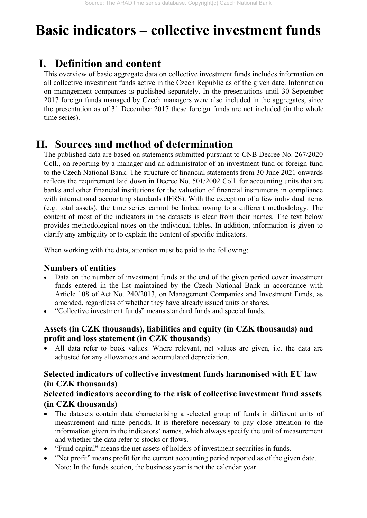# **Basic indicators – collective investment funds**

# **I. Definition and content**

This overview of basic aggregate data on collective investment funds includes information on all collective investment funds active in the Czech Republic as of the given date. Information on management companies is published separately. In the presentations until 30 September 2017 foreign funds managed by Czech managers were also included in the aggregates, since the presentation as of 31 December 2017 these foreign funds are not included (in the whole time series).

# **II. Sources and method of determination**

The published data are based on statements submitted pursuant to CNB Decree No. 267/2020 Coll., on reporting by a manager and an administrator of an investment fund or foreign fund to the Czech National Bank. The structure of financial statements from 30 June 2021 onwards reflects the requirement laid down in Decree No. 501/2002 Coll. for accounting units that are banks and other financial institutions for the valuation of financial instruments in compliance with international accounting standards (IFRS). With the exception of a few individual items (e.g. total assets), the time series cannot be linked owing to a different methodology. The content of most of the indicators in the datasets is clear from their names. The text below provides methodological notes on the individual tables. In addition, information is given to clarify any ambiguity or to explain the content of specific indicators.

When working with the data, attention must be paid to the following:

#### **Numbers of entities**

- Data on the number of investment funds at the end of the given period cover investment funds entered in the list maintained by the Czech National Bank in accordance with Article 108 of Act No. 240/2013, on Management Companies and Investment Funds, as amended, regardless of whether they have already issued units or shares.
- "Collective investment funds" means standard funds and special funds.

#### **Assets (in CZK thousands), liabilities and equity (in CZK thousands) and profit and loss statement (in CZK thousands)**

 All data refer to book values. Where relevant, net values are given, i.e. the data are adjusted for any allowances and accumulated depreciation.

#### **Selected indicators of collective investment funds harmonised with EU law (in CZK thousands)**

#### **Selected indicators according to the risk of collective investment fund assets (in CZK thousands)**

- The datasets contain data characterising a selected group of funds in different units of measurement and time periods. It is therefore necessary to pay close attention to the information given in the indicators' names, which always specify the unit of measurement and whether the data refer to stocks or flows.
- "Fund capital" means the net assets of holders of investment securities in funds.
- "Net profit" means profit for the current accounting period reported as of the given date. Note: In the funds section, the business year is not the calendar year.